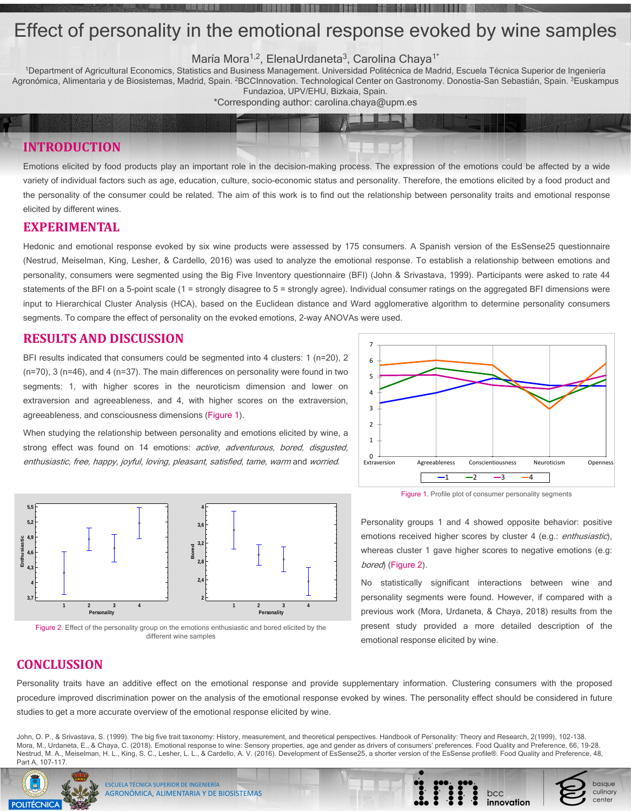### **RESULTS AND DISCUSSION**

BFI results indicated that consumers could be segmented into 4 clusters: 1 (n=20), 2 (n=70), 3 (n=46), and 4 (n=37). The main differences on personality were found in two segments: 1, with higher scores in the neuroticism dimension and lower on extraversion and agreeableness, and 4, with higher scores on the extraversion, agreeableness, and consciousness dimensions (Figure 1).

When studying the relationship between personality and emotions elicited by wine, a strong effect was found on 14 emotions: active, adventurous, bored, disgusted, enthusiastic, free, happy, joyful, loving, pleasant, satisfied, tame, warm and worried.

<sup>1</sup>Department of Agricultural Economics, Statistics and Business Management. Universidad Politécnica de Madrid, Escuela Técnica Superior de Ingeniería Agronómica, Alimentaria y de Biosistemas, Madrid, Spain. <sup>2</sup>BCCInnovation. Technological Center on Gastronomy. Donostia-San Sebastián, Spain. <sup>3</sup>Euskampus Fundazioa, UPV/EHU, Bizkaia, Spain.

# Effect of personality in the emotional response evoked by wine samples

María Mora<sup>1,2</sup>, ElenaUrdaneta<sup>3</sup>, Carolina Chaya<sup>1\*</sup>

statements of the BFI on a 5-point scale (1 = strongly disagree to 5 = strongly agree). Individual consumer ratings on the aggregated BFI dimensions were input to Hierarchical Cluster Analysis (HCA), based on the Euclidean distance and Ward agglomerative algorithm to determine personality consumers segments. To compare the effect of personality on the evoked emotions, 2-way ANOVAs were used.

\*Corresponding author: carolina.chaya@upm.es

## **EXPERIMENTAL**

Hedonic and emotional response evoked by six wine products were assessed by 175 consumers. A Spanish version of the EsSense25 questionnaire (Nestrud, Meiselman, King, Lesher, & Cardello, 2016) was used to analyze the emotional response. To establish a relationship between emotions and personality, consumers were segmented using the Big Five Inventory questionnaire (BFI) (John & Srivastava, 1999). Participants were asked to rate 44

> Personality groups 1 and 4 showed opposite behavior: positive emotions received higher scores by cluster 4 (e.g.: *enthusiastic*), whereas cluster 1 gave higher scores to negative emotions (e.g: bored) (Figure 2).

**INTRODUCTION**

Emotions elicited by food products play an important role in the decision-making process. The expression of the emotions could be affected by a wide variety of individual factors such as age, education, culture, socio-economic status and personality. Therefore, the emotions elicited by a food product and the personality of the consumer could be related. The aim of this work is to find out the relationship between personality traits and emotional response elicited by different wines.

## **CONCLUSSION**

Personality traits have an additive effect on the emotional response and provide supplementary information. Clustering consumers with the proposed procedure improved discrimination power on the analysis of the emotional response evoked by wines. The personality effect should be considered in future studies to get a more accurate overview of the emotional response elicited by wine.



Figure 1. Profile plot of consumer personality segments

No statistically significant interactions between wine and personality segments were found. However, if compared with a previous work (Mora, Urdaneta, & Chaya, 2018) results from the present study provided a more detailed description of the emotional response elicited by wine.

bcc

innovatior

basque

culinary

center



Figure 2. Effect of the personality group on the emotions enthusiastic and bored elicited by the different wine samples

John, O. P., & Srivastava, S. (1999). The big five trait taxonomy: History, measurement, and theoretical perspectives. Handbook of Personality: Theory and Research, 2(1999), 102-138. Mora, M., Urdaneta, E., & Chaya, C. (2018). Emotional response to wine: Sensory properties, age and gender as drivers of consumers' preferences. Food Quality and Preference, 66, 19-28. Nestrud, M. A., Meiselman, H. L., King, S. C., Lesher, L. L., & Cardello, A. V. (2016). Development of EsSense25, a shorter version of the EsSense profile®. Food Quality and Preference, 48, Part A, 107-117.



ESCUELA TÉCNICA SUPERIOR DE INGENIERÍA AGRONÓMICA, ALIMENTARIA Y DE BIOSISTEMAS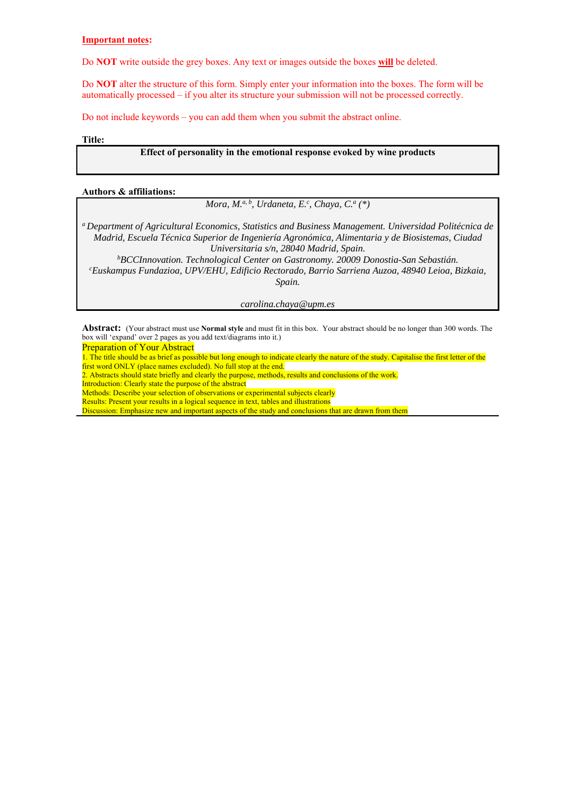#### **Important notes:**

Do **NOT** write outside the grey boxes. Any text or images outside the boxes **will** be deleted.

Do **NOT** alter the structure of this form. Simply enter your information into the boxes. The form will be automatically processed – if you alter its structure your submission will not be processed correctly.

Do not include keywords – you can add them when you submit the abstract online.

**Title:** 

#### **Effect of personality in the emotional response evoked by wine products**

#### **Authors & affiliations:**

*Mora, M.<sup>a, b</sup>, Urdaneta, E.<sup>c</sup>, Chaya, C.<sup>a</sup> (\*)* 

*a Department of Agricultural Economics, Statistics and Business Management. Universidad Politécnica de Madrid, Escuela Técnica Superior de Ingeniería Agronómica, Alimentaria y de Biosistemas, Ciudad* 

*Universitaria s/n, 28040 Madrid, Spain. b BCCInnovation. Technological Center on Gastronomy. 20009 Donostia-San Sebastián. c Euskampus Fundazioa, UPV/EHU, Edificio Rectorado, Barrio Sarriena Auzoa, 48940 Leioa, Bizkaia, Spain.* 

*carolina.chaya@upm.es*

**Abstract:** (Your abstract must use **Normal style** and must fit in this box. Your abstract should be no longer than 300 words. The box will 'expand' over 2 pages as you add text/diagrams into it.)

Preparation of Your Abstract

1. The title should be as brief as possible but long enough to indicate clearly the nature of the study. Capitalise the first letter of the first word ONLY (place names excluded). No full stop at the end.

2. Abstracts should state briefly and clearly the purpose, methods, results and conclusions of the work. Introduction: Clearly state the purpose of the abstract

Methods: Describe your selection of observations or experimental subjects clearly

Results: Present your results in a logical sequence in text, tables and illustrations

Discussion: Emphasize new and important aspects of the study and conclusions that are drawn from them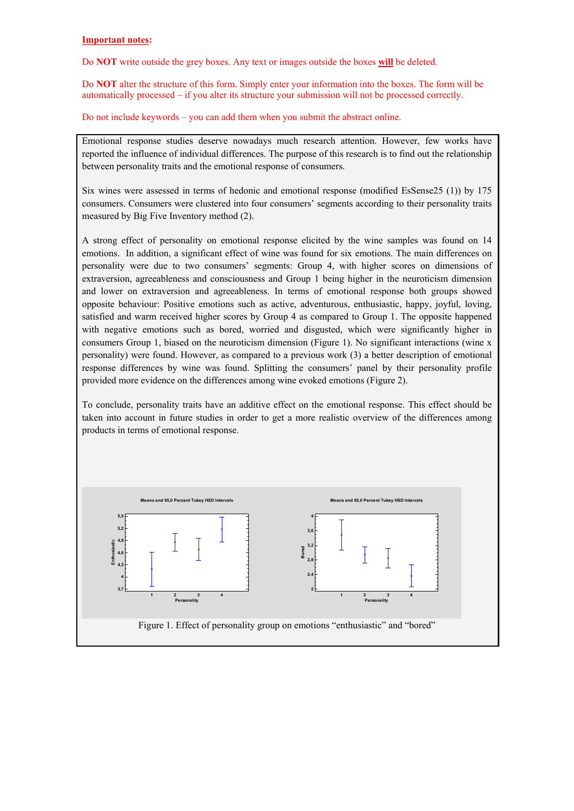#### **Important notes:**

Do **NOT** write outside the grey boxes. Any text or images outside the boxes **will** be deleted.

Do **NOT** alter the structure of this form. Simply enter your information into the boxes. The form will be automatically processed – if you alter its structure your submission will not be processed correctly.

Do not include keywords – you can add them when you submit the abstract online.

Emotional response studies deserve nowadays much research attention. However, few works have reported the influence of individual differences. The purpose of this research is to find out the relationship between personality traits and the emotional response of consumers.

Six wines were assessed in terms of hedonic and emotional response (modified EsSense25 (1)) by 175 consumers. Consumers were clustered into four consumers' segments according to their personality traits measured by Big Five Inventory method (2).

A strong effect of personality on emotional response elicited by the wine samples was found on 14 emotions. In addition, a significant effect of wine was found for six emotions. The main differences on personality were due to two consumers' segments: Group 4, with higher scores on dimensions of extraversion, agreeableness and consciousness and Group 1 being higher in the neuroticism dimension and lower on extraversion and agreeableness. In terms of emotional response both groups showed opposite behaviour: Positive emotions such as active, adventurous, enthusiastic, happy, joyful, loving, satisfied and warm received higher scores by Group 4 as compared to Group 1. The opposite happened with negative emotions such as bored, worried and disgusted, which were significantly higher in consumers Group 1, biased on the neuroticism dimension (Figure 1). No significant interactions (wine x personality) were found. However, as compared to a previous work (3) a better description of emotional response differences by wine was found. Splitting the consumers' panel by their personality profile provided more evidence on the differences among wine evoked emotions (Figure 2).

To conclude, personality traits have an additive effect on the emotional response. This effect should be taken into account in future studies in order to get a more realistic overview of the differences among products in terms of emotional response.